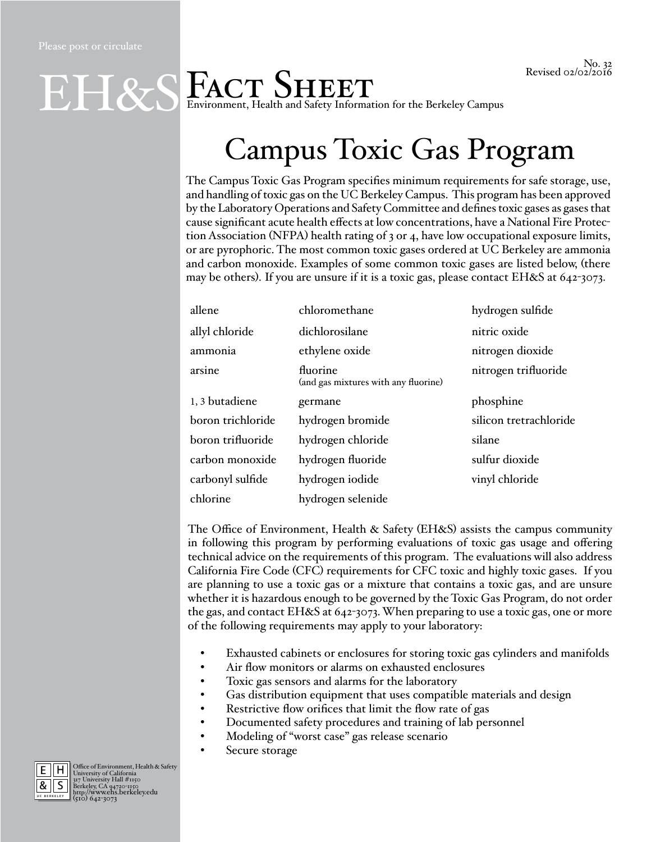## Environment, Health and Safety Information for the Berkeley Campus EH&S

## Campus Toxic Gas Program

The Campus Toxic Gas Program specifies minimum requirements for safe storage, use, and handling of toxic gas on the UC Berkeley Campus. This program has been approved by the Laboratory Operations and Safety Committee and defines toxic gases as gases that cause significant acute health effects at low concentrations, have a National Fire Protection Association (NFPA) health rating of  $3$  or  $4$ , have low occupational exposure limits, or are pyrophoric. The most common toxic gases ordered at UC Berkeley are ammonia and carbon monoxide. Examples of some common toxic gases are listed below, (there may be others). If you are unsure if it is a toxic gas, please contact EH&S at 642-3073.

| allene            | chloromethane                                    | hydrogen sulfide       |
|-------------------|--------------------------------------------------|------------------------|
| allyl chloride    | dichlorosilane                                   | nitric oxide           |
| ammonia           | ethylene oxide                                   | nitrogen dioxide       |
| arsine            | fluorine<br>(and gas mixtures with any fluorine) | nitrogen trifluoride   |
| 1,3 butadiene     | germane                                          | phosphine              |
| boron trichloride | hydrogen bromide                                 | silicon tretrachloride |
| boron trifluoride | hydrogen chloride                                | silane                 |
| carbon monoxide   | hydrogen fluoride                                | sulfur dioxide         |
| carbonyl sulfide  | hydrogen iodide                                  | vinyl chloride         |
| chlorine          | hydrogen selenide                                |                        |

The Office of Environment, Health & Safety (EH&S) assists the campus community in following this program by performing evaluations of toxic gas usage and offering technical advice on the requirements of this program. The evaluations will also address California Fire Code (CFC) requirements for CFC toxic and highly toxic gases. If you are planning to use a toxic gas or a mixture that contains a toxic gas, and are unsure whether it is hazardous enough to be governed by the Toxic Gas Program, do not order the gas, and contact EH&S at 642-3073. When preparing to use a toxic gas, one or more of the following requirements may apply to your laboratory:

- Exhausted cabinets or enclosures for storing toxic gas cylinders and manifolds
- Air flow monitors or alarms on exhausted enclosures
- Toxic gas sensors and alarms for the laboratory
- Gas distribution equipment that uses compatible materials and design
- Restrictive flow orifices that limit the flow rate of gas
- Documented safety procedures and training of lab personnel
- Modeling of "worst case" gas release scenario
- Secure storage



E Office of Environment, Health & Safety University of California 317 University Hall #1150 Berkeley, CA 94720-1150 http://www.ehs.berkeley.edu (510) 642-3073